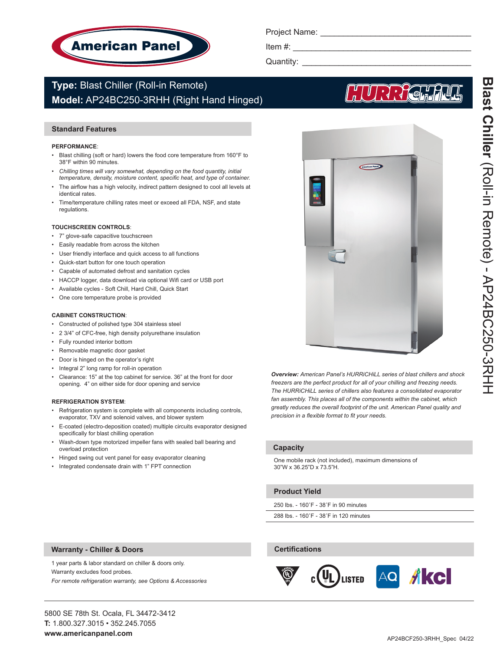

Project Name: \_\_\_\_\_\_\_\_\_\_\_\_\_\_\_\_\_\_\_\_\_\_\_\_\_\_\_\_\_\_\_\_\_

Item  $#$ :

Quantity: \_\_\_\_\_\_\_\_\_\_\_\_\_\_\_\_\_\_\_\_\_\_\_\_\_\_\_\_\_\_\_\_\_\_\_\_\_

# **Type:** Blast Chiller (Roll-in Remote) **Model:** AP24BC250-3RHH (Right Hand Hinged)

# **Standard Features**

#### **PERFORMANCE**:

- Blast chilling (soft or hard) lowers the food core temperature from 160°F to 38°F within 90 minutes.
- *• Chilling times will vary somewhat, depending on the food quantity, initial temperature, density, moisture content, specific heat, and type of container.*
- The airflow has a high velocity, indirect pattern designed to cool all levels at identical rates.
- Time/temperature chilling rates meet or exceed all FDA, NSF, and state regulations.

#### **TOUCHSCREEN CONTROLS**:

- 7" glove-safe capacitive touchscreen
- Easily readable from across the kitchen
- User friendly interface and quick access to all functions
- Quick-start button for one touch operation
- Capable of automated defrost and sanitation cycles
- HACCP logger, data download via optional Wifi card or USB port
- Available cycles Soft Chill, Hard Chill, Quick Start
- One core temperature probe is provided

#### **CABINET CONSTRUCTION**:

- Constructed of polished type 304 stainless steel
- 2 3/4" of CFC-free, high density polyurethane insulation
- Fully rounded interior bottom
- Removable magnetic door gasket
- Door is hinged on the operator's right
- Integral 2" long ramp for roll-in operation
- Clearance: 15" at the top cabinet for service. 36" at the front for door opening. 4" on either side for door opening and service

#### **REFRIGERATION SYSTEM**:

- Refrigeration system is complete with all components including controls, evaporator, TXV and solenoid valves, and blower system
- E-coated (electro-deposition coated) multiple circuits evaporator designed specifically for blast chilling operation
- Wash-down type motorized impeller fans with sealed ball bearing and overload protection
- Hinged swing out vent panel for easy evaporator cleaning
- Integrated condensate drain with 1" FPT connection



**Blast Chiller** (Roll-in Remote) - AP24BC250-3RHH Blast Chiller (Koll-in Kemote) - AP24BCS20-3KHF

*Overview: American Panel's HURRiCHiLL series of blast chillers and shock freezers are the perfect product for all of your chilling and freezing needs. The HURRiCHiLL series of chillers also features a consolidated evaporator fan assembly. This places all of the components within the cabinet, which greatly reduces the overall footprint of the unit. American Panel quality and precision in a flexible format to fit your needs.* 

## **Capacity**

One mobile rack (not included), maximum dimensions of 30"W x 36.25"D x 73.5"H.

### **Product Yield**

**Certifications**

250 lbs. - 160˚F - 38˚F in 90 minutes

288 lbs. - 160˚F - 38˚F in 120 minutes

### **Warranty - Chiller & Doors**

1 year parts & labor standard on chiller & doors only. Warranty excludes food probes.

*For remote refrigeration warranty, see Options & Accessories*